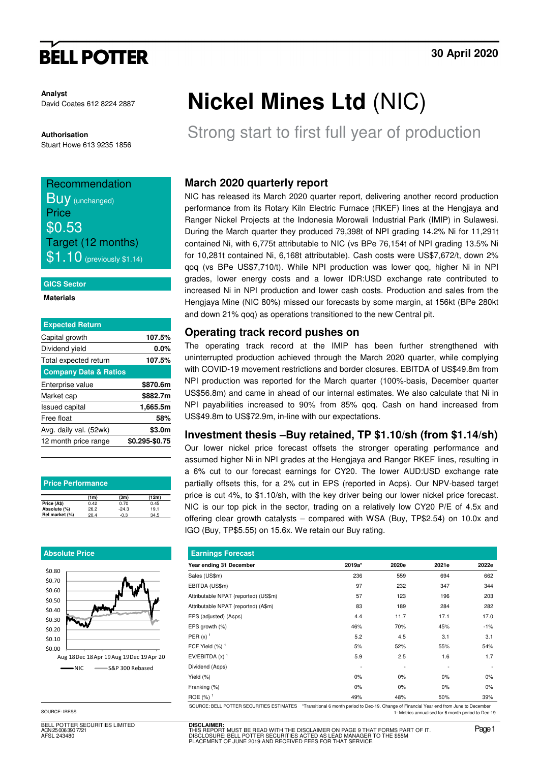# **BELL POTTER**

**Analyst** David Coates 612 8224 2887

**Authorisation**  Stuart Howe 613 9235 1856

### Recommendation **Buy** (unchanged) **Price** \$0.53 Target (12 months)  $$1.10$  (previously \$1.14)

**GICS Sector** 

**Materials** 

| <b>Expected Return</b>           |                |
|----------------------------------|----------------|
| Capital growth                   | 107.5%         |
| Dividend yield                   | $0.0\%$        |
| Total expected return            | 107.5%         |
| <b>Company Data &amp; Ratios</b> |                |
| Enterprise value                 | \$870.6m       |
| Market cap                       | \$882.7m       |
| <b>Issued capital</b>            | 1,665.5m       |
| Free float                       | 58%            |
| Avg. daily val. (52wk)           | \$3.0m         |
| 12 month price range             | \$0.295-\$0.75 |

| <b>Price Performance</b> |      |         |       |  |  |  |  |  |  |
|--------------------------|------|---------|-------|--|--|--|--|--|--|
|                          | (1m) | (3m)    | (12m) |  |  |  |  |  |  |
| Price (A\$)              | 0.42 | 0.70    | 0.45  |  |  |  |  |  |  |
| Absolute (%)             | 26.2 | $-24.3$ | 19.1  |  |  |  |  |  |  |
| Rel market (%)           | 20.4 | $-0.3$  | 34.5  |  |  |  |  |  |  |

#### **Absolute Price**



SOURCE: IRESS

BELL POTTER SECURITIES LIMITED h<br>5 006 390 772 AFSL 243480

# **Nickel Mines Ltd** (NIC)

Strong start to first full year of production

### **March 2020 quarterly report**

NIC has released its March 2020 quarter report, delivering another record production performance from its Rotary Kiln Electric Furnace (RKEF) lines at the Hengjaya and Ranger Nickel Projects at the Indonesia Morowali Industrial Park (IMIP) in Sulawesi. During the March quarter they produced 79,398t of NPI grading 14.2% Ni for 11,291t contained Ni, with 6,775t attributable to NIC (vs BPe 76,154t of NPI grading 13.5% Ni for 10,281t contained Ni, 6,168t attributable). Cash costs were US\$7,672/t, down 2% qoq (vs BPe US\$7,710/t). While NPI production was lower qoq, higher Ni in NPI grades, lower energy costs and a lower IDR:USD exchange rate contributed to increased Ni in NPI production and lower cash costs. Production and sales from the Hengjaya Mine (NIC 80%) missed our forecasts by some margin, at 156kt (BPe 280kt and down 21% qoq) as operations transitioned to the new Central pit.

#### **Operating track record pushes on**

The operating track record at the IMIP has been further strengthened with uninterrupted production achieved through the March 2020 quarter, while complying with COVID-19 movement restrictions and border closures. EBITDA of US\$49.8m from NPI production was reported for the March quarter (100%-basis, December quarter US\$56.8m) and came in ahead of our internal estimates. We also calculate that Ni in NPI payabilities increased to 90% from 85% qoq. Cash on hand increased from US\$49.8m to US\$72.9m, in-line with our expectations.

### **Investment thesis –Buy retained, TP \$1.10/sh (from \$1.14/sh)**

Our lower nickel price forecast offsets the stronger operating performance and assumed higher Ni in NPI grades at the Hengjaya and Ranger RKEF lines, resulting in a 6% cut to our forecast earnings for CY20. The lower AUD:USD exchange rate partially offsets this, for a 2% cut in EPS (reported in Acps). Our NPV-based target price is cut 4%, to \$1.10/sh, with the key driver being our lower nickel price forecast. NIC is our top pick in the sector, trading on a relatively low CY20 P/E of 4.5x and offering clear growth catalysts – compared with WSA (Buy, TP\$2.54) on 10.0x and IGO (Buy, TP\$5.55) on 15.6x. We retain our Buy rating.

| <b>Earnings Forecast</b>                                                                                                             |        |       |       |       |  |  |  |  |  |  |
|--------------------------------------------------------------------------------------------------------------------------------------|--------|-------|-------|-------|--|--|--|--|--|--|
| Year ending 31 December                                                                                                              | 2019a* | 2020e | 2021e | 2022e |  |  |  |  |  |  |
| Sales (US\$m)                                                                                                                        | 236    | 559   | 694   | 662   |  |  |  |  |  |  |
| EBITDA (US\$m)                                                                                                                       | 97     | 232   | 347   | 344   |  |  |  |  |  |  |
| Attributable NPAT (reported) (US\$m)                                                                                                 | 57     | 123   | 196   | 203   |  |  |  |  |  |  |
| Attributable NPAT (reported) (A\$m)                                                                                                  | 83     | 189   | 284   | 282   |  |  |  |  |  |  |
| EPS (adjusted) (A¢ps)                                                                                                                | 4.4    | 11.7  | 17.1  | 17.0  |  |  |  |  |  |  |
| EPS growth (%)                                                                                                                       | 46%    | 70%   | 45%   | $-1%$ |  |  |  |  |  |  |
| PER $(x)$ <sup>1</sup>                                                                                                               | 5.2    | 4.5   | 3.1   | 3.1   |  |  |  |  |  |  |
| FCF Yield $(%)$ <sup>1</sup>                                                                                                         | 5%     | 52%   | 55%   | 54%   |  |  |  |  |  |  |
| EV/EBITDA $(x)$ <sup>1</sup>                                                                                                         | 5.9    | 2.5   | 1.6   | 1.7   |  |  |  |  |  |  |
| Dividend (A¢ps)                                                                                                                      |        | ٠     |       |       |  |  |  |  |  |  |
| Yield (%)                                                                                                                            | 0%     | 0%    | 0%    | $0\%$ |  |  |  |  |  |  |
| Franking (%)                                                                                                                         | 0%     | 0%    | 0%    | $0\%$ |  |  |  |  |  |  |
| ROE $(%)$ <sup>1</sup>                                                                                                               | 49%    | 48%   | 50%   | 39%   |  |  |  |  |  |  |
| SOLIBCE: RELL POTTER SECURITIES ESTIMATES *Transitional 6 month period to Dec-19. Change of Financial Vear end from June to December |        |       |       |       |  |  |  |  |  |  |

SOURCE: BELL POTTER SECURITIES ESTIMATES \*Transitional 6 month period to Dec-19. Change of Financial Year end from June to December 1: Metrics annualised for 6 month period to Dec-19

**DISCLAIMER:**<br>THIS REPORT MUST BE READ WITH THE DISCLAIMER ON PAGE 9 THAT FORMS PART OF IT.<br>DISCLOSURE: BELL POTTER SECURITIES ACTED AS LEAD MANAGER TO THE \$55M THE THE THE MUSIC DETECTS WITH THE JOSEPH OF DISCLOSURE: BELL POTTER SECURITIES ACTED AS LEAD MANAGER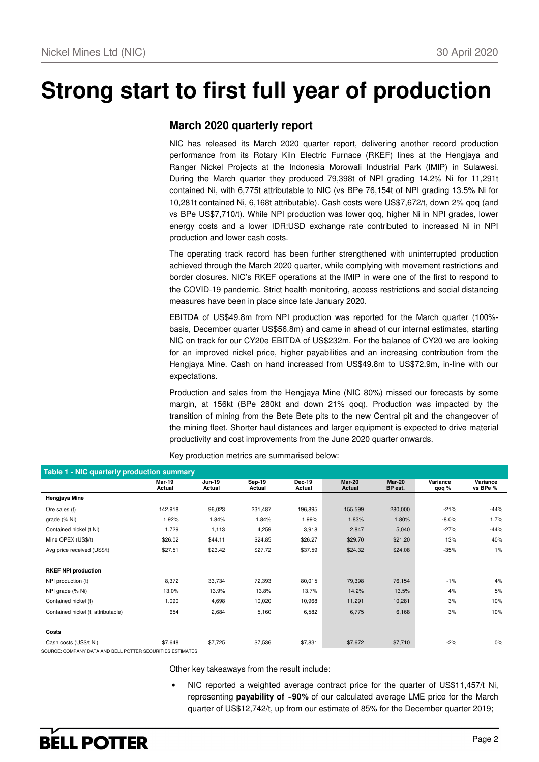# **Strong start to first full year of production**

### **March 2020 quarterly report**

NIC has released its March 2020 quarter report, delivering another record production performance from its Rotary Kiln Electric Furnace (RKEF) lines at the Hengjaya and Ranger Nickel Projects at the Indonesia Morowali Industrial Park (IMIP) in Sulawesi. During the March quarter they produced 79,398t of NPI grading 14.2% Ni for 11,291t contained Ni, with 6,775t attributable to NIC (vs BPe 76,154t of NPI grading 13.5% Ni for 10,281t contained Ni, 6,168t attributable). Cash costs were US\$7,672/t, down 2% qoq (and vs BPe US\$7,710/t). While NPI production was lower qoq, higher Ni in NPI grades, lower energy costs and a lower IDR:USD exchange rate contributed to increased Ni in NPI production and lower cash costs.

The operating track record has been further strengthened with uninterrupted production achieved through the March 2020 quarter, while complying with movement restrictions and border closures. NIC's RKEF operations at the IMIP in were one of the first to respond to the COVID-19 pandemic. Strict health monitoring, access restrictions and social distancing measures have been in place since late January 2020.

EBITDA of US\$49.8m from NPI production was reported for the March quarter (100% basis, December quarter US\$56.8m) and came in ahead of our internal estimates, starting NIC on track for our CY20e EBITDA of US\$232m. For the balance of CY20 we are looking for an improved nickel price, higher payabilities and an increasing contribution from the Hengjaya Mine. Cash on hand increased from US\$49.8m to US\$72.9m, in-line with our expectations.

Production and sales from the Hengjaya Mine (NIC 80%) missed our forecasts by some margin, at 156kt (BPe 280kt and down 21% qoq). Production was impacted by the transition of mining from the Bete Bete pits to the new Central pit and the changeover of the mining fleet. Shorter haul distances and larger equipment is expected to drive material productivity and cost improvements from the June 2020 quarter onwards.

| Table 1 - NIC quarterly production summary |                  |                         |                  |                         |                  |                          |                   |                      |  |  |
|--------------------------------------------|------------------|-------------------------|------------------|-------------------------|------------------|--------------------------|-------------------|----------------------|--|--|
|                                            | Mar-19<br>Actual | <b>Jun-19</b><br>Actual | Sep-19<br>Actual | <b>Dec-19</b><br>Actual | Mar-20<br>Actual | <b>Mar-20</b><br>BP est. | Variance<br>qoq % | Variance<br>vs BPe % |  |  |
| Hengjaya Mine                              |                  |                         |                  |                         |                  |                          |                   |                      |  |  |
| Ore sales (t)                              | 142,918          | 96,023                  | 231,487          | 196,895                 | 155,599          | 280,000                  | $-21%$            | $-44%$               |  |  |
| grade (% Ni)                               | 1.92%            | 1.84%                   | 1.84%            | 1.99%                   | 1.83%            | 1.80%                    | $-8.0%$           | 1.7%                 |  |  |
| Contained nickel (t Ni)                    | 1,729            | 1,113                   | 4,259            | 3,918                   | 2,847            | 5,040                    | $-27%$            | $-44%$               |  |  |
| Mine OPEX (US\$/t)                         | \$26.02          | \$44.11                 | \$24.85          | \$26.27                 | \$29.70          | \$21.20                  | 13%               | 40%                  |  |  |
| Avg price received (US\$/t)                | \$27.51          | \$23.42                 | \$27.72          | \$37.59                 | \$24.32          | \$24.08                  | $-35%$            | $1\%$                |  |  |
|                                            |                  |                         |                  |                         |                  |                          |                   |                      |  |  |
| <b>RKEF NPI production</b>                 |                  |                         |                  |                         |                  |                          |                   |                      |  |  |
| NPI production (t)                         | 8,372            | 33,734                  | 72,393           | 80,015                  | 79,398           | 76,154                   | $-1%$             | 4%                   |  |  |
| NPI grade (% Ni)                           | 13.0%            | 13.9%                   | 13.8%            | 13.7%                   | 14.2%            | 13.5%                    | 4%                | 5%                   |  |  |
| Contained nickel (t)                       | 1,090            | 4,698                   | 10,020           | 10,968                  | 11,291           | 10,281                   | 3%                | 10%                  |  |  |
| Contained nickel (t, attributable)         | 654              | 2,684                   | 5,160            | 6,582                   | 6,775            | 6,168                    | 3%                | 10%                  |  |  |
|                                            |                  |                         |                  |                         |                  |                          |                   |                      |  |  |
| Costs                                      |                  |                         |                  |                         |                  |                          |                   |                      |  |  |
| Cash costs (US\$/t Ni)                     | \$7,648          | \$7,725                 | \$7,536          | \$7,831                 | \$7,672          | \$7,710                  | $-2%$             | 0%                   |  |  |

Key production metrics are summarised below:

SOURCE: COMPANY DATA AND BELL POTTER SECURITIES ESTIMATES

Other key takeaways from the result include:

NIC reported a weighted average contract price for the quarter of US\$11,457/t Ni, representing **payability of ~90%** of our calculated average LME price for the March quarter of US\$12,742/t, up from our estimate of 85% for the December quarter 2019;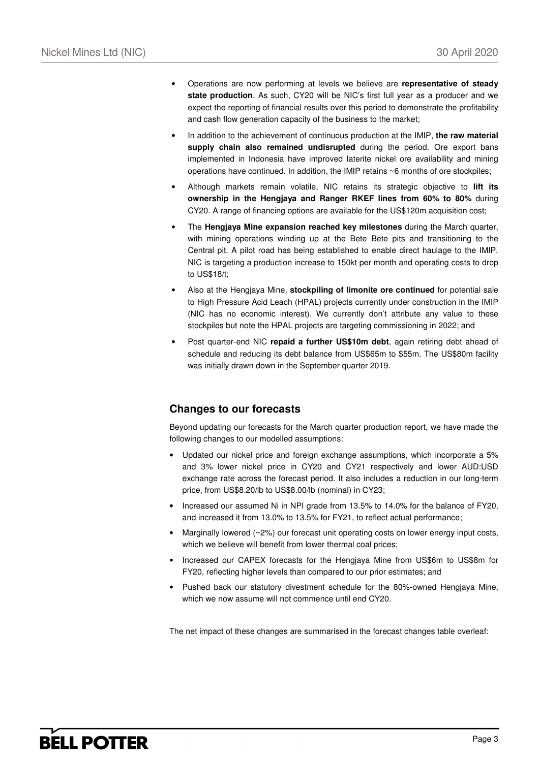- Operations are now performing at levels we believe are **representative of steady state production**. As such, CY20 will be NIC's first full year as a producer and we expect the reporting of financial results over this period to demonstrate the profitability and cash flow generation capacity of the business to the market;
- In addition to the achievement of continuous production at the IMIP, **the raw material supply chain also remained undisrupted** during the period. Ore export bans implemented in Indonesia have improved laterite nickel ore availability and mining operations have continued. In addition, the IMIP retains ~6 months of ore stockpiles;
- Although markets remain volatile, NIC retains its strategic objective to **lift its ownership in the Hengjaya and Ranger RKEF lines from 60% to 80%** during CY20. A range of financing options are available for the US\$120m acquisition cost;
- The **Hengjaya Mine expansion reached key milestones** during the March quarter, with mining operations winding up at the Bete Bete pits and transitioning to the Central pit. A pilot road has being established to enable direct haulage to the IMIP. NIC is targeting a production increase to 150kt per month and operating costs to drop to US\$18/t;
- Also at the Hengjaya Mine, **stockpiling of limonite ore continued** for potential sale to High Pressure Acid Leach (HPAL) projects currently under construction in the IMIP (NIC has no economic interest). We currently don't attribute any value to these stockpiles but note the HPAL projects are targeting commissioning in 2022; and
- Post quarter-end NIC **repaid a further US\$10m debt**, again retiring debt ahead of schedule and reducing its debt balance from US\$65m to \$55m. The US\$80m facility was initially drawn down in the September quarter 2019.

### **Changes to our forecasts**

Beyond updating our forecasts for the March quarter production report, we have made the following changes to our modelled assumptions:

- Updated our nickel price and foreign exchange assumptions, which incorporate a 5% and 3% lower nickel price in CY20 and CY21 respectively and lower AUD:USD exchange rate across the forecast period. It also includes a reduction in our long-term price, from US\$8.20/lb to US\$8.00/lb (nominal) in CY23;
- Increased our assumed Ni in NPI grade from 13.5% to 14.0% for the balance of FY20, and increased it from 13.0% to 13.5% for FY21, to reflect actual performance;
- Marginally lowered  $(2%)$  our forecast unit operating costs on lower energy input costs, which we believe will benefit from lower thermal coal prices;
- Increased our CAPEX forecasts for the Hengjaya Mine from US\$6m to US\$8m for FY20, reflecting higher levels than compared to our prior estimates; and
- Pushed back our statutory divestment schedule for the 80%-owned Hengjaya Mine, which we now assume will not commence until end CY20.

The net impact of these changes are summarised in the forecast changes table overleaf: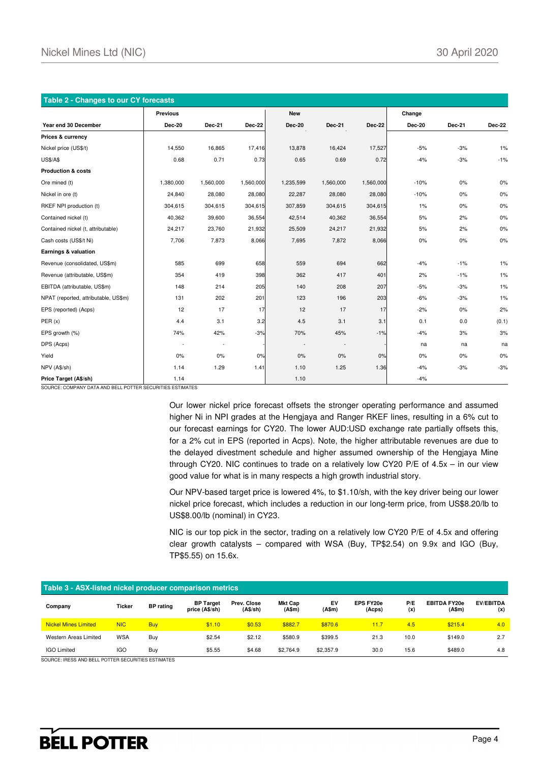| <b>Table 2 - Changes to our CY forecasts</b> |                          |           |               |               |           |               |               |        |               |  |
|----------------------------------------------|--------------------------|-----------|---------------|---------------|-----------|---------------|---------------|--------|---------------|--|
|                                              | Previous                 |           |               | <b>New</b>    |           |               | Change        |        |               |  |
| Year end 30 December                         | <b>Dec-20</b>            | Dec-21    | <b>Dec-22</b> | <b>Dec-20</b> | Dec-21    | <b>Dec-22</b> | <b>Dec-20</b> | Dec-21 | <b>Dec-22</b> |  |
| Prices & currency                            |                          |           |               |               |           |               |               |        |               |  |
| Nickel price (US\$/t)                        | 14,550                   | 16,865    | 17,416        | 13,878        | 16,424    | 17,527        | $-5%$         | $-3%$  | 1%            |  |
| <b>US\$/A\$</b>                              | 0.68                     | 0.71      | 0.73          | 0.65          | 0.69      | 0.72          | $-4%$         | $-3%$  | $-1%$         |  |
| <b>Production &amp; costs</b>                |                          |           |               |               |           |               |               |        |               |  |
| Ore mined (t)                                | 1,380,000                | 1,560,000 | 1,560,000     | 1,235,599     | 1,560,000 | 1,560,000     | $-10%$        | 0%     | 0%            |  |
| Nickel in ore (t)                            | 24,840                   | 28,080    | 28,080        | 22,287        | 28,080    | 28,080        | $-10%$        | 0%     | 0%            |  |
| RKEF NPI production (t)                      | 304,615                  | 304,615   | 304,615       | 307,859       | 304,615   | 304,615       | 1%            | 0%     | 0%            |  |
| Contained nickel (t)                         | 40,362                   | 39,600    | 36,554        | 42,514        | 40,362    | 36,554        | 5%            | 2%     | 0%            |  |
| Contained nickel (t, attributable)           | 24,217                   | 23,760    | 21,932        | 25,509        | 24,217    | 21,932        | 5%            | 2%     | 0%            |  |
| Cash costs (US\$/t Ni)                       | 7,706                    | 7,873     | 8,066         | 7,695         | 7,872     | 8,066         | $0\%$         | 0%     | 0%            |  |
| Earnings & valuation                         |                          |           |               |               |           |               |               |        |               |  |
| Revenue (consolidated, US\$m)                | 585                      | 699       | 658           | 559           | 694       | 662           | $-4%$         | $-1%$  | 1%            |  |
| Revenue (attributable, US\$m)                | 354                      | 419       | 398           | 362           | 417       | 401           | 2%            | $-1%$  | 1%            |  |
| EBITDA (attributable, US\$m)                 | 148                      | 214       | 205           | 140           | 208       | 207           | $-5%$         | $-3%$  | 1%            |  |
| NPAT (reported, attributable, US\$m)         | 131                      | 202       | 201           | 123           | 196       | 203           | $-6%$         | $-3%$  | 1%            |  |
| EPS (reported) (Acps)                        | 12                       | 17        | 17            | 12            | 17        | 17            | $-2%$         | $0\%$  | 2%            |  |
| PER(x)                                       | 4.4                      | 3.1       | 3.2           | 4.5           | 3.1       | 3.1           | 0.1           | 0.0    | (0.1)         |  |
| EPS growth (%)                               | 74%                      | 42%       | $-3%$         | 70%           | 45%       | $-1%$         | $-4%$         | 3%     | 3%            |  |
| DPS (Acps)                                   | $\overline{\phantom{a}}$ |           |               |               |           |               | na            | na     | na            |  |
| Yield                                        | 0%                       | 0%        | 0%            | 0%            | 0%        | 0%            | $0\%$         | 0%     | 0%            |  |
| NPV (A\$/sh)                                 | 1.14                     | 1.29      | 1.41          | 1.10          | 1.25      | 1.36          | $-4%$         | $-3%$  | $-3%$         |  |
| Price Target (A\$/sh)                        | 1.14                     |           |               | 1.10          |           |               | $-4%$         |        |               |  |

SOURCE: COMPANY DATA AND BELL POTTER SECURITIES ESTIMATES

Our lower nickel price forecast offsets the stronger operating performance and assumed higher Ni in NPI grades at the Hengjaya and Ranger RKEF lines, resulting in a 6% cut to our forecast earnings for CY20. The lower AUD:USD exchange rate partially offsets this, for a 2% cut in EPS (reported in Acps). Note, the higher attributable revenues are due to the delayed divestment schedule and higher assumed ownership of the Hengjaya Mine through CY20. NIC continues to trade on a relatively low CY20 P/E of  $4.5x - in$  our view good value for what is in many respects a high growth industrial story.

Our NPV-based target price is lowered 4%, to \$1.10/sh, with the key driver being our lower nickel price forecast, which includes a reduction in our long-term price, from US\$8.20/lb to US\$8.00/lb (nominal) in CY23.

NIC is our top pick in the sector, trading on a relatively low CY20 P/E of 4.5x and offering clear growth catalysts – compared with WSA (Buy, TP\$2.54) on 9.9x and IGO (Buy, TP\$5.55) on 15.6x.

| Table 3 - ASX-listed nickel producer comparison metrics |               |                  |                                    |                         |                          |                    |                            |            |                               |                         |  |
|---------------------------------------------------------|---------------|------------------|------------------------------------|-------------------------|--------------------------|--------------------|----------------------------|------------|-------------------------------|-------------------------|--|
| Company                                                 | <b>Ticker</b> | <b>BP</b> rating | <b>BP Target</b><br>price (A\$/sh) | Prev. Close<br>(A\$/sh) | <b>Mkt Cap</b><br>(A\$m) | EV<br>$($ A\$m $)$ | <b>EPS FY20e</b><br>(Acps) | P/E<br>(x) | <b>EBITDA FY20e</b><br>(A\$m) | <b>EV/EBITDA</b><br>(x) |  |
| <b>Nickel Mines Limited</b>                             | <b>NIC</b>    | Buy              | \$1.10                             | \$0.53                  | \$882.7                  | \$870.6            | 11.7                       | 4.5        | \$215.4                       | 4.0                     |  |
| Western Areas Limited                                   | <b>WSA</b>    | Buy              | \$2.54                             | \$2.12                  | \$580.9                  | \$399.5            | 21.3                       | 10.0       | \$149.0                       | 2.7                     |  |
| <b>IGO Limited</b>                                      | IGO           | Buy              | \$5.55                             | \$4.68                  | \$2,764.9                | \$2,357.9          | 30.0                       | 15.6       | \$489.0                       | 4.8                     |  |

SOURCE: IRESS AND BELL POTTER SECURITIES ESTIMATES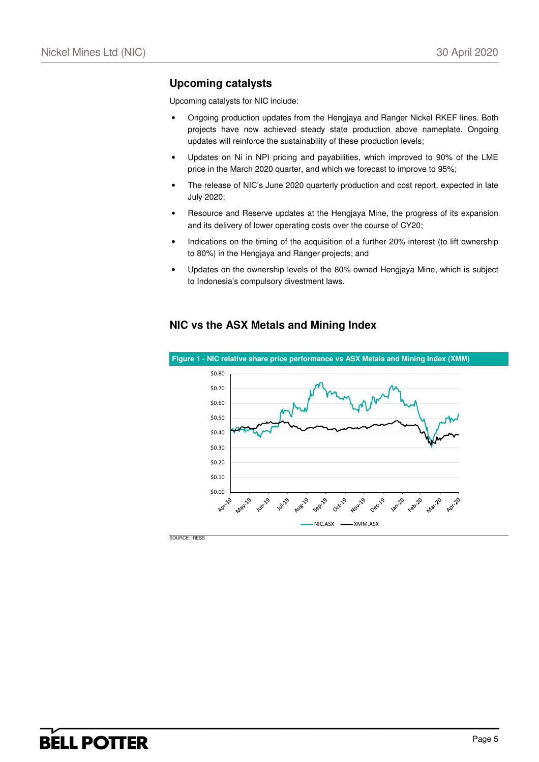### **Upcoming catalysts**

Upcoming catalysts for NIC include:

- Ongoing production updates from the Hengjaya and Ranger Nickel RKEF lines. Both projects have now achieved steady state production above nameplate. Ongoing updates will reinforce the sustainability of these production levels;
- Updates on Ni in NPI pricing and payabilities, which improved to 90% of the LME price in the March 2020 quarter, and which we forecast to improve to 95%;
- The release of NIC's June 2020 quarterly production and cost report, expected in late July 2020;
- Resource and Reserve updates at the Hengjaya Mine, the progress of its expansion and its delivery of lower operating costs over the course of CY20;
- Indications on the timing of the acquisition of a further 20% interest (to lift ownership to 80%) in the Hengjaya and Ranger projects; and
- Updates on the ownership levels of the 80%-owned Hengjaya Mine, which is subject to Indonesia's compulsory divestment laws.

### **NIC vs the ASX Metals and Mining Index**



SOURCE: IRESS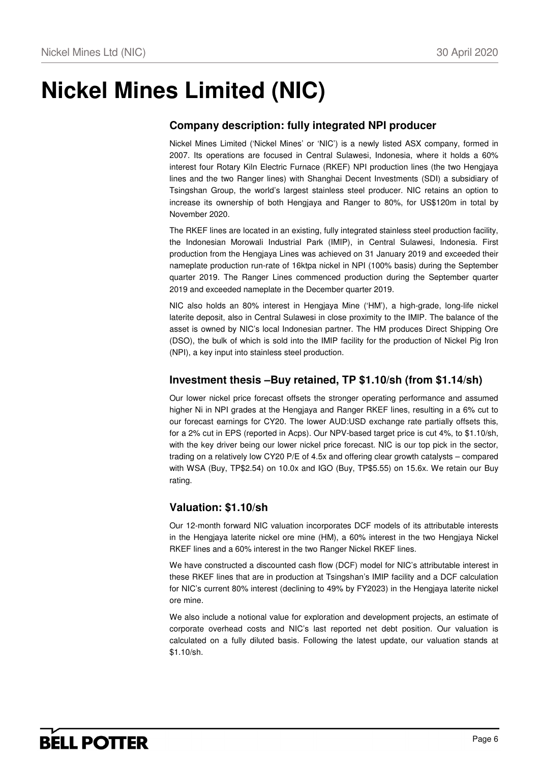# **Nickel Mines Limited (NIC)**

### **Company description: fully integrated NPI producer**

Nickel Mines Limited ('Nickel Mines' or 'NIC') is a newly listed ASX company, formed in 2007. Its operations are focused in Central Sulawesi, Indonesia, where it holds a 60% interest four Rotary Kiln Electric Furnace (RKEF) NPI production lines (the two Hengjaya lines and the two Ranger lines) with Shanghai Decent Investments (SDI) a subsidiary of Tsingshan Group, the world's largest stainless steel producer. NIC retains an option to increase its ownership of both Hengjaya and Ranger to 80%, for US\$120m in total by November 2020.

The RKEF lines are located in an existing, fully integrated stainless steel production facility, the Indonesian Morowali Industrial Park (IMIP), in Central Sulawesi, Indonesia. First production from the Hengjaya Lines was achieved on 31 January 2019 and exceeded their nameplate production run-rate of 16ktpa nickel in NPI (100% basis) during the September quarter 2019. The Ranger Lines commenced production during the September quarter 2019 and exceeded nameplate in the December quarter 2019.

NIC also holds an 80% interest in Hengjaya Mine ('HM'), a high-grade, long-life nickel laterite deposit, also in Central Sulawesi in close proximity to the IMIP. The balance of the asset is owned by NIC's local Indonesian partner. The HM produces Direct Shipping Ore (DSO), the bulk of which is sold into the IMIP facility for the production of Nickel Pig Iron (NPI), a key input into stainless steel production.

### **Investment thesis –Buy retained, TP \$1.10/sh (from \$1.14/sh)**

Our lower nickel price forecast offsets the stronger operating performance and assumed higher Ni in NPI grades at the Hengjaya and Ranger RKEF lines, resulting in a 6% cut to our forecast earnings for CY20. The lower AUD:USD exchange rate partially offsets this, for a 2% cut in EPS (reported in Acps). Our NPV-based target price is cut 4%, to \$1.10/sh, with the key driver being our lower nickel price forecast. NIC is our top pick in the sector, trading on a relatively low CY20 P/E of 4.5x and offering clear growth catalysts – compared with WSA (Buy, TP\$2.54) on 10.0x and IGO (Buy, TP\$5.55) on 15.6x. We retain our Buy rating.

### **Valuation: \$1.10/sh**

Our 12-month forward NIC valuation incorporates DCF models of its attributable interests in the Hengjaya laterite nickel ore mine (HM), a 60% interest in the two Hengjaya Nickel RKEF lines and a 60% interest in the two Ranger Nickel RKEF lines.

We have constructed a discounted cash flow (DCF) model for NIC's attributable interest in these RKEF lines that are in production at Tsingshan's IMIP facility and a DCF calculation for NIC's current 80% interest (declining to 49% by FY2023) in the Hengjaya laterite nickel ore mine.

We also include a notional value for exploration and development projects, an estimate of corporate overhead costs and NIC's last reported net debt position. Our valuation is calculated on a fully diluted basis. Following the latest update, our valuation stands at \$1.10/sh.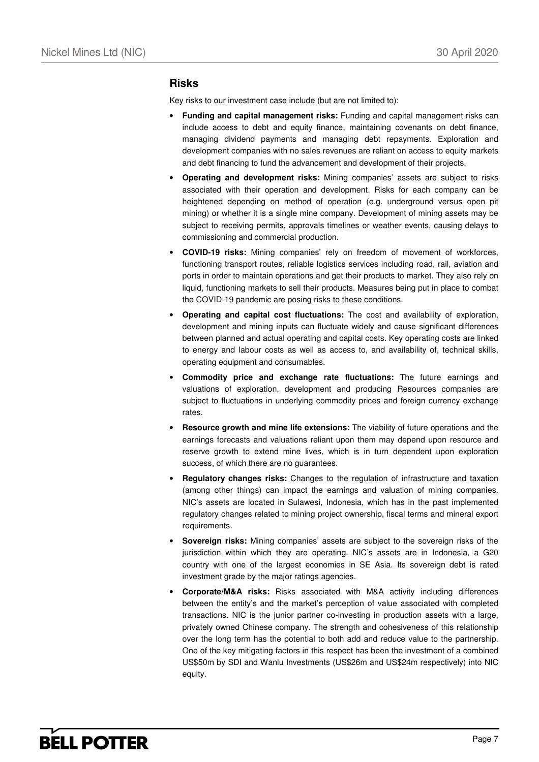#### **Risks**

Key risks to our investment case include (but are not limited to):

- **Funding and capital management risks:** Funding and capital management risks can include access to debt and equity finance, maintaining covenants on debt finance, managing dividend payments and managing debt repayments. Exploration and development companies with no sales revenues are reliant on access to equity markets and debt financing to fund the advancement and development of their projects.
- **Operating and development risks:** Mining companies' assets are subject to risks associated with their operation and development. Risks for each company can be heightened depending on method of operation (e.g. underground versus open pit mining) or whether it is a single mine company. Development of mining assets may be subject to receiving permits, approvals timelines or weather events, causing delays to commissioning and commercial production.
- **COVID-19 risks:** Mining companies' rely on freedom of movement of workforces, functioning transport routes, reliable logistics services including road, rail, aviation and ports in order to maintain operations and get their products to market. They also rely on liquid, functioning markets to sell their products. Measures being put in place to combat the COVID-19 pandemic are posing risks to these conditions.
- **Operating and capital cost fluctuations:** The cost and availability of exploration, development and mining inputs can fluctuate widely and cause significant differences between planned and actual operating and capital costs. Key operating costs are linked to energy and labour costs as well as access to, and availability of, technical skills, operating equipment and consumables.
- **Commodity price and exchange rate fluctuations:** The future earnings and valuations of exploration, development and producing Resources companies are subject to fluctuations in underlying commodity prices and foreign currency exchange rates.
- **Resource growth and mine life extensions:** The viability of future operations and the earnings forecasts and valuations reliant upon them may depend upon resource and reserve growth to extend mine lives, which is in turn dependent upon exploration success, of which there are no guarantees.
- **Regulatory changes risks:** Changes to the regulation of infrastructure and taxation (among other things) can impact the earnings and valuation of mining companies. NIC's assets are located in Sulawesi, Indonesia, which has in the past implemented regulatory changes related to mining project ownership, fiscal terms and mineral export requirements.
- **Sovereign risks:** Mining companies' assets are subject to the sovereign risks of the jurisdiction within which they are operating. NIC's assets are in Indonesia, a G20 country with one of the largest economies in SE Asia. Its sovereign debt is rated investment grade by the major ratings agencies.
- **Corporate/M&A risks:** Risks associated with M&A activity including differences between the entity's and the market's perception of value associated with completed transactions. NIC is the junior partner co-investing in production assets with a large, privately owned Chinese company. The strength and cohesiveness of this relationship over the long term has the potential to both add and reduce value to the partnership. One of the key mitigating factors in this respect has been the investment of a combined US\$50m by SDI and Wanlu Investments (US\$26m and US\$24m respectively) into NIC equity.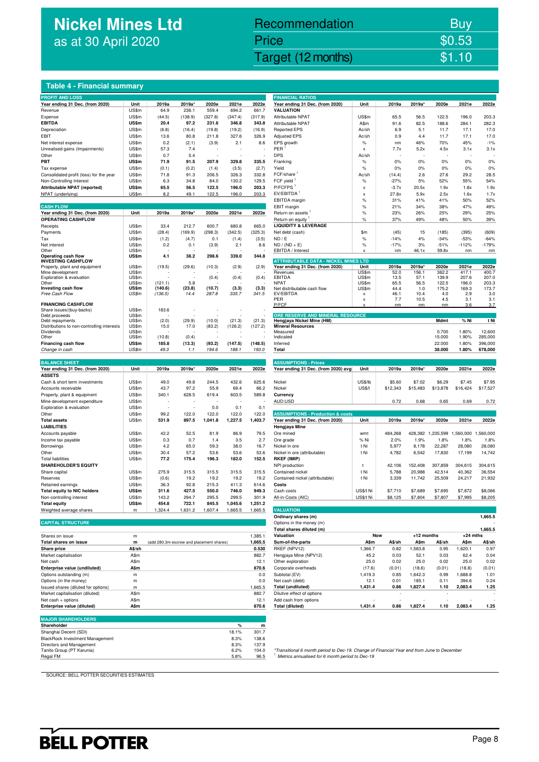## **Nickel Mines Ltd** as at 30 April 2020

## Nickel Mines Ltd (Nickel Mines Ltd (Nickel Mines Ltd (Nickel Mines Ltd Computer) \$1.10 Recommendation Buy Price \$0.53

#### **Table 4 - Financial summary**

| <b>PROFIT AND LOSS</b>                                |                |                                          |         |         |         |         | <b>FINANCIAL RATIOS</b>                     |                           |               |                 |                   |                |                |
|-------------------------------------------------------|----------------|------------------------------------------|---------|---------|---------|---------|---------------------------------------------|---------------------------|---------------|-----------------|-------------------|----------------|----------------|
| Year ending 31 Dec. (from 2020)                       | Unit           | 2019a                                    | 2019a'  | 2020e   | 2021e   | 2022e   | Year ending 31 Dec. (from 2020)             | Unit                      | 2019a         | 2019a'          | 2020e             | 2021e          | 2022e          |
| Revenue                                               | US\$m          | 64.9                                     | 236.1   | 559.4   | 694.2   | 661.7   | <b>VALUATION</b>                            |                           |               |                 |                   |                |                |
| Expense                                               | US\$m          | (44.5)                                   | (138.9) | (327.8) | (347.4) | (317.9) | Attributable NPAT                           | US\$m                     | 65.5          | 56.5            | 122.5             | 196.0          | 203.3          |
| <b>EBITDA</b>                                         | US\$m          | 20.4                                     | 97.2    | 231.6   | 346.8   | 343.8   | <b>Attributable NPAT</b>                    | A\$m                      | 91.6          | 82.5            | 188.6             | 284.1          | 282.3          |
| Depreciation                                          | US\$m          | (6.8)                                    | (16.4)  | (19.8)  | (19.2)  | (16.9)  | <b>Reported EPS</b>                         | Ac/sh                     | 6.9           | 5.1             | 11.7              | 17.1           | 17.0           |
| EBIT                                                  | US\$m          | 13.6                                     | 80.8    | 211.8   | 327.6   | 326.9   | <b>Adjusted EPS</b>                         | Ac/sh                     | 0.9           | 4.4             | 11.7              | 17.1           | 17.0           |
| Net interest expense                                  | US\$m          | 0.2                                      | (2.1)   | (3.9)   | 2.1     | 8.6     | EPS growth                                  | $\%$                      | nm            | 46%             | 70%               | 45%            | $-1%$          |
| Unrealised gains (Impairments)                        | US\$m          | 57.3                                     | 7.4     |         |         |         | PER                                         | $\boldsymbol{\mathsf{x}}$ | 7.7x          | 5.2x            | 4.5x              | 3.1x           | 3.1x           |
| Other                                                 | US\$m          | 0.7                                      | 5.4     |         |         |         | <b>DPS</b>                                  | Ac/sh                     |               |                 |                   |                |                |
| PBT                                                   | US\$m          | 71.9                                     | 91.5    | 207.9   | 329.8   | 335.5   | Franking                                    | $\%$                      | 0%            | 0%              | 0%                | 0%             | 0%             |
| Tax expense                                           | US\$m          | (0.1)                                    | (0.2)   | (1.4)   | (3.5)   | (2.7)   | Yield                                       | $\%$                      | 0%            | 0%              | 0%                | 0%             | 0%             |
| Consolidated profit (loss) for the year               | US\$m          | 71.8                                     | 91.3    | 206.5   | 326.3   | 332.8   | FCF/share                                   | Ac/sh                     | (14.4)        | 2.6             | 27.6              | 29.2           | 28.5           |
| Non-Controlling Interest                              | US\$m          | 6.3                                      | 34.8    | 84.0    | 130.2   | 129.5   | FCF yield <sup>1</sup>                      | $\%$                      | $-27%$        | 5%              | 52%               | 55%            | 54%            |
| Attributable NPAT (reported)                          | US\$m          | 65.5                                     | 56.5    | 122.5   | 196.0   | 203.3   | P/FCFPS <sup>1</sup>                        | X                         | $-3.7x$       | 20.5x           | 1.9x              | 1.8x           | 1.9x           |
| NPAT (underlying)                                     | US\$m          | 8.2                                      | 49.1    | 122.5   | 196.0   | 203.3   | EV/EBITDA                                   | X                         | 27.8x         | 5.9x            | 2.5x              | 1.6x           | 1.7x           |
|                                                       |                |                                          |         |         |         |         | EBITDA margin                               | %                         | 31%           | 41%             | 41%               | 50%            | 52%            |
| <b>CASH FLOW</b>                                      |                |                                          |         |         |         |         | EBIT margin                                 | $\%$                      | 21%           | 34%             | 38%               | 47%            | 49%            |
| Year ending 31 Dec. (from 2020)                       | Unit           | 2019a                                    | 2019a*  | 2020e   | 2021e   | 2022e   | Return on assets                            | $\%$                      | 23%           | 26%             | 25%               | 29%            | 25%            |
| <b>OPERATING CASHFLOW</b>                             |                |                                          |         |         |         |         | Return on equity                            | $\%$                      | 37%           | 49%             | 48%               | 50%            | 39%            |
| Receipts                                              | US\$m          | 33.4                                     | 212.7   | 600.7   | 680.8   | 665.0   | <b>LIQUIDITY &amp; LEVERAGE</b>             |                           |               |                 |                   |                |                |
| Payments                                              | US\$m          | (28.4)                                   | (169.9) | (298.3) | (342.5) | (325.3) | Net debt (cash)                             | \$m                       | (45)          | 15              | (185)             | (395)          | (609)          |
| Tax                                                   | US\$m          | (1.2)                                    | (4.7)   | 0.1     | (1.4)   | (3.5)   | ND / E                                      | $\%$                      | $-14%$        | 4%              | $-34%$            | $-53%$         | $-64%$         |
| Net interest                                          | US\$m          | 0.2                                      | 0.1     | (3.9)   | 2.1     | 8.6     | $ND / (ND + E)$                             | %                         | $-17%$        | 3%              | $-51%$            | $-112%$        | $-179%$        |
| Other                                                 | US\$m          |                                          |         |         |         |         | EBITDA / Interest                           | x                         | nm            | 46.1x           | 59.8x             | nm             | nm             |
| Operating cash flow                                   | US\$m          | 4.1                                      | 38.2    | 298.6   | 339.0   | 344.8   |                                             |                           |               |                 |                   |                |                |
| <b>INVESTING CASHFLOW</b>                             |                |                                          |         |         |         |         | <b>ATTRIBUTABLE DATA - NICKEL MINES LTD</b> |                           |               |                 |                   |                |                |
| Property, plant and equipment<br>Mine development     | US\$m<br>US\$m | (19.5)                                   | (29.6)  | (10.3)  | (2.9)   | (2.9)   | Year ending 31 Dec. (from 2020)<br>Revenues | Unit<br>US\$m             | 2019a<br>52.0 | 2019a'<br>156.1 | 2020e<br>362.2    | 2021e<br>417.1 | 2022e<br>400.7 |
| Exploration & evaluation                              | US\$m          |                                          |         | (0.4)   | (0.4)   | (0.4)   | <b>EBITDA</b>                               | US\$m                     | 13.5          | 57.1            | 139.9             | 207.6          | 207.0          |
| Other                                                 | US\$m          | (121.1)                                  | 5.8     |         |         |         | <b>NPAT</b>                                 | US\$m                     | 65.5          | 56.5            | 122.5             | 196.0          | 203.3          |
| Investing cash flow                                   | US\$m          | (140.6)                                  | (23.8)  | (10.7)  | (3.3)   | (3.3)   | Net distributable cash flow                 | US\$m                     | 44.4          | 1.0             | 175.2             | 169.3          | 173.7          |
| Free Cash Flow                                        | US\$m          | (136.5)                                  | 14.4    | 287.8   | 335.7   | 341.5   | EV/EBITDA                                   | x                         | 46.1          | 10.4            | 4.0               | 2.9            | 3.0            |
|                                                       |                |                                          |         |         |         |         | PER                                         | X                         | 7.7           | 10.5            | 4.5               | 3.1            | 3.1            |
| <b>FINANCING CASHFLOW</b><br>Share issues/(buy-backs) | US\$m          | 183.6                                    |         |         |         |         | P/FCF                                       |                           | nm            | nm              | nm                | 3.6            | 3.7            |
| Debt proceeds                                         | US\$m          |                                          |         |         |         |         | ORE RESERVE AND MINERAL RESOURCE            |                           |               |                 |                   |                |                |
| Debt repayments                                       | US\$m          | (2.0)                                    | (29.9)  | (10.0)  | (21.3)  | (21.3)  | Hengjaya Nickel Mine (HM)                   |                           |               |                 | Mdmt              | % Ni           | t Ni           |
| Distributions to non-controlling interests            | US\$m          | 15.0                                     | 17.0    | (83.2)  | (126.2) | (127.2) | <b>Mineral Resources</b>                    |                           |               |                 |                   |                |                |
| Dividends                                             | US\$m          |                                          |         |         |         |         | Measured                                    |                           |               |                 | 0.700             | 1.80%          | 12,600         |
| Other                                                 | US\$m          | (10.8)                                   | (0.4)   |         |         |         | Indicated                                   |                           |               |                 | 15.000            | 1.90%          | 285,000        |
| Financing cash flow                                   | US\$m          | 185.8                                    | (13.3)  | (93.2)  | (147.5) | (148.5) | Inferred                                    |                           |               |                 | 22.000            | 1.80%          | 396,000        |
| Change in cash                                        | US\$m          | 49.3                                     | 1.1     | 194.6   | 188.1   | 193.0   | Total                                       |                           |               |                 | 38.000            | 1.80%          | 678,000        |
| <b>BALANCE SHEET</b>                                  |                |                                          |         |         |         |         |                                             |                           |               |                 |                   |                |                |
|                                                       |                |                                          |         |         |         |         | <b>ASSUMPTIONS - Prices</b>                 |                           |               |                 |                   |                |                |
| Year ending 31 Dec. (from 2020)                       | Unit           | 2019a                                    | 2019a*  | 2020e   | 2021e   | 2022e   | Year ending 31 Dec. (from 2020) avg         | Unit                      | 2019a         | 2019a'          | 2020e             | 2021e          | 2022e          |
|                                                       |                |                                          |         |         |         |         |                                             |                           |               |                 |                   | \$7.45         |                |
| <b>ASSETS</b>                                         |                |                                          |         |         |         |         |                                             |                           |               |                 |                   |                | \$7.95         |
| Cash & short term investments                         | US\$m          | 49.0                                     | 49.8    | 244.5   | 432.6   | 625.6   | Nickel                                      | US\$/lb                   | \$5.60        | \$7.02          | \$6.29            |                |                |
| Accounts receivable                                   | US\$m          | 43.7                                     | 97.2    | 55.9    | 69.4    | 66.2    | Nickel                                      | US\$/t                    | \$12,343      | \$15,483        | \$13,878          | \$16,424       | \$17,527       |
| Property, plant & equipment                           | US\$m          | 340.1                                    | 628.5   | 619.4   | 603.5   | 589.8   | Currency                                    |                           |               |                 |                   |                |                |
| Mine development expenditure                          | US\$m          |                                          |         |         |         |         | AUD:USD                                     |                           | 0.72          | 0.68            | 0.65              | 0.69           | 0.72           |
| Exploration & evaluation                              | US\$m          |                                          |         | 0.0     | 0.1     | 0.1     |                                             |                           |               |                 |                   |                |                |
| Other                                                 | US\$m          | 99.2                                     | 122.0   | 122.0   | 122.0   | 122.0   | <b>ASSUMPTIONS - Production &amp; costs</b> |                           |               |                 |                   |                |                |
| <b>Total assets</b>                                   | US\$m          | 531.9                                    | 897.5   | 1,041.8 | 1,227.5 | 1,403.7 | Year ending 31 Dec. (from 2020)             | Unit                      | 2019a         | 2019a*          | 2020e             | 2021e          | 2022e          |
| <b>LIABILITIES</b>                                    |                |                                          |         |         |         |         | Hengjaya Mine                               |                           |               |                 |                   |                |                |
| Accounts payable                                      | US\$m          | 42.2                                     | 52.5    | 81.9    | 86.9    | 79.5    | Ore mined                                   | wmt                       | 484,268       |                 | 428,382 1,235,599 | 1,560,000      | 1,560,000      |
| Income tax payable                                    | US\$m          | 0.3                                      | 0.7     | 1.4     | 3.5     | 2.7     | Ore grade                                   | % Ni                      | 2.0%          | 1.9%            | 1.8%              | 1.8%           | 1.8%           |
| Borrowings                                            | US\$m          | 4.2                                      | 65.0    | 59.3    | 38.0    | 16.7    | Nickel in ore                               | t Ni                      | 5,977         | 8,178           | 22,287            | 28,080         | 28,080         |
| Other                                                 | US\$m          | 30.4                                     | 57.2    | 53.6    | 53.6    | 53.6    | Nickel in ore (attributable)                | t Ni                      | 4,782         | 6,542           | 17,830            | 17,199         | 14,742         |
| <b>Total liabilities</b>                              | US\$m          | 77.2                                     | 175.4   | 196.3   | 182.0   | 152.5   | RKEF (IMIP)                                 |                           |               |                 |                   |                |                |
| <b>SHAREHOLDER'S EQUITY</b>                           |                |                                          |         |         |         |         | NPI production                              | t                         | 42,106        | 152,408         | 307,859           | 304,615        | 304,615        |
| Share capital                                         | US\$m          | 275.9                                    | 315.5   | 315.5   | 315.5   | 315.5   | Contained nickel                            | t Ni                      | 5,788         | 20,988          | 42,514            | 40,362         | 36,554         |
| Reserves                                              | US\$m          | (0.6)                                    | 19.2    | 19.2    | 19.2    | 19.2    | Contained nickel (attributable)             | t Ni                      | 3,339         | 11,742          | 25,509            | 24,217         | 21,932         |
| Retained earnings                                     | US\$m          | 36.3                                     | 92.8    | 215.3   | 411.3   | 614.6   | Costs                                       |                           |               |                 |                   |                |                |
| <b>Total equity to NIC holders</b>                    | US\$m          | 311.6                                    | 427.5   | 550.0   | 746.0   | 949.3   | Cash costs                                  | US\$/t Ni                 | \$7,710       | \$7,689         | \$7,695           | \$7,872        | \$8,066        |
| Non-controlling interest                              | US\$m          | 143.2                                    | 294.7   | 295.5   | 299.5   | 301.9   | All-in-Costs (AIC)                          | US\$/t Ni                 | \$8,125       | \$7,804         | \$7,807           | \$7,995        | \$8,205        |
| <b>Total equity</b>                                   | US\$m          | 454.8                                    | 722.1   | 845.5   | 1,045.6 | 1,251.2 |                                             |                           |               |                 |                   |                |                |
| Weighted average shares                               | m              | 1,324.4                                  | 1,631.2 | 1,607.4 | 1,665.5 | 1,665.5 | <b>VALUATION</b>                            |                           |               |                 |                   |                |                |
|                                                       |                |                                          |         |         |         |         | Ordinary shares (m)                         |                           |               |                 |                   |                | 1,665.5        |
| <b>CAPITAL STRUCTURE</b>                              |                |                                          |         |         |         |         | Options in the money (m)                    |                           |               |                 |                   |                |                |
|                                                       |                |                                          |         |         |         |         | Total shares diluted (m)                    |                           |               |                 |                   |                | 1,665.5        |
| Shares on issue                                       | m              |                                          |         |         |         | 1,385.1 | Valuation                                   | Now                       |               | +12 months      |                   | $+24$ mths     |                |
| Total shares on issue                                 | m              | (add 280.3m escrow and placement shares) |         |         |         | 1,665.5 | Sum-of-the-parts                            | A\$m                      | A\$/sh        | A\$m            | A\$/sh            | A\$m           | A\$/sh         |
| <b>Share price</b>                                    | A\$/sh         |                                          |         |         |         | 0.530   | RKEF (NPV12)                                | 1,366.7                   | 0.82          | 1,583.8         | 0.95              | 1,620.1        | 0.97           |
| Market capitalisation                                 | A\$m           |                                          |         |         |         | 882.7   | Hengjaya Mine (NPV12)                       | 45.2                      | 0.03          | 52.1            | 0.03              | 62.4           | 0.04           |
| Net cash                                              | A\$m           |                                          |         |         |         | 12.1    | Other exploration                           | 25.0                      | 0.02          | 25.0            | 0.02              | 25.0           | 0.02           |
| Enterprise value (undiluted)                          | A\$m           |                                          |         |         |         | 870.6   | Corporate overheads                         | (17.6)                    | (0.01)        | (18.6)          | (0.01)            | (18.8)         | (0.01)         |
| Options outstanding (m)                               | m              |                                          |         |         |         | 0.0     | Subtotal (EV)                               | 1,419.3                   | 0.85          | 1,642.3         | 0.99              | 1,688.8        | 1.01           |
| Options (in the money)                                | m              |                                          |         |         |         | 0.0     | Net cash (debt)                             | 12.1                      | 0.01          | 185.1           | 0.11              | 394.6          | 0.24           |
| Issued shares (diluted for options)                   | m              |                                          |         |         |         | 1,665.5 | Total (undiluted)                           | 1,431.4                   | 0.86          | 1,827.4         | 1.10              | 2,083.4        | 1.25           |
| Market capitalisation (diluted)                       | A\$m           |                                          |         |         |         | 882.7   | Dilutive effect of options                  |                           |               |                 |                   |                |                |
| Net cash + options                                    | A\$m           |                                          |         |         |         | 12.1    | Add cash from options                       |                           | J.            |                 |                   |                |                |
| Enterprise value (diluted)                            | A\$m           |                                          |         |         |         | 870.6   | <b>Total (diluted)</b>                      | 1,431.4                   | 0.86          | 1,827.4         | 1.10              | 2,083.4        | 1.25           |
|                                                       |                |                                          |         |         |         |         |                                             |                           |               |                 |                   |                |                |
| <b>MAJOR SHAREHOLDERS</b><br>Shareholder              |                |                                          |         |         | %       | m       |                                             |                           |               |                 |                   |                |                |

| Shareholder                            |       | m     |
|----------------------------------------|-------|-------|
| Shanghai Decent (SDI)                  | 18.1% | 301.7 |
| <b>BlackRock Investment Management</b> | 8.3%  | 138.6 |
| Directors and Management               | 8.3%  | 137.9 |
| Tanito Group (PT Karunia)              | 6.2%  | 104.0 |
| Regal FM                               | 5.8%  | 96.5  |
|                                        |       |       |

| <b>FINANCIAL RATIOS</b>                                                                                                      |                     |                  |                  |                   |                     |                    |
|------------------------------------------------------------------------------------------------------------------------------|---------------------|------------------|------------------|-------------------|---------------------|--------------------|
| Year ending 31 Dec. (from 2020)                                                                                              | Unit                | 2019a            | 2019a*           | 2020e             | 2021e               | 2022e              |
| VALUATION                                                                                                                    |                     |                  |                  |                   |                     |                    |
| Attributable NPAT                                                                                                            | US\$m               | 65.5             | 56.5             | 122.5             | 196.0               | 203.3              |
| Attributable NPAT                                                                                                            | A\$m<br>Ac/sh       | 91.6             | 82.5             | 188.6<br>11.7     | 284.1               | 282.3<br>17.0      |
| <b>Reported EPS</b>                                                                                                          | Ac/sh               | 6.9<br>0.9       | 5.1<br>4.4       | 11.7              | 17.1<br>17.1        | 17.0               |
| Adjusted EPS<br>EPS growth                                                                                                   | %                   | nm               | 46%              | 70%               | 45%                 | $-1%$              |
| <b>PER</b>                                                                                                                   | X                   | 7.7x             | 5.2x             | 4.5x              | 3.1x                | 3.1x               |
| DPS                                                                                                                          | Ac/sh               |                  |                  |                   |                     |                    |
| Franking                                                                                                                     | %                   | 0%               | 0%               | 0%                | 0%                  | 0%                 |
| Yield                                                                                                                        | $\%$                | 0%               | 0%               | 0%                | 0%                  | 0%                 |
| FCF/share                                                                                                                    | Ac/sh               | (14.4)           | 2.6              | 27.6              | 29.2                | 28.5               |
| FCF yield $^1$                                                                                                               | %                   | $-27%$           | 5%               | 52%               | 55%                 | 54%                |
| P/FCFPS <sup>1</sup><br>EV/EBITDA 1                                                                                          | X                   | $-3.7x$<br>27.8x | 20.5x<br>5.9x    | 1.9x<br>2.5x      | 1.8x<br>1.6x        | 1.9x<br>1.7x       |
| <b>EBITDA</b> margin                                                                                                         | X<br>%              | 31%              | 41%              | 41%               | 50%                 | 52%                |
| EBIT margin                                                                                                                  | %                   | 21%              | 34%              | 38%               | 47%                 | 49%                |
| Return on assets <sup>1</sup>                                                                                                | $\%$                | 23%              | 26%              | 25%               | 29%                 | 25%                |
| Return on equity '                                                                                                           | %                   | 37%              | 49%              | 48%               | 50%                 | 39%                |
| <b>LIQUIDITY &amp; LEVERAGE</b>                                                                                              |                     |                  |                  |                   |                     |                    |
| Net debt (cash)                                                                                                              | \$m                 | (45)             | 15               | (185)             | (395)               | (609)              |
| ND / E                                                                                                                       | $\%$                | $-14%$           | 4%               | $-34%$            | $-53%$              | $-64%$             |
| $ND / (ND + E)$                                                                                                              | %                   | $-17%$           | 3%               | $-51%$            | $-112%$             | $-179%$            |
| EBITDA / Interest                                                                                                            | X                   | nm               | <u>46.1x</u>     | 59.8x             | nm                  | nm                 |
| <b>ATTRIBUTABLE DATA - NICKEL MINES LTD</b>                                                                                  |                     |                  |                  |                   |                     |                    |
| Year ending 31 Dec. (from 2020)                                                                                              | Unit<br>ã,<br>ÜS\$m | 2019a<br>52.0    | 2019a*<br>156.1  | 2020e<br>362.2    | 2021e<br>417.1      | 2022e<br>400.7     |
| Revenues<br>EBITDA                                                                                                           | US\$m               | 13.5             | 57.1             | 139.9             | 207.6               | 207.0              |
| NPAT                                                                                                                         | US\$m               | 65.5             | 56.5             | 122.5             | 196.0               | 203.3              |
| Net distributable cash flow                                                                                                  | US\$m               | 44.4             | 1.0              | 175.2             | 169.3               | 173.7              |
| EV/EBITDA<br>PER                                                                                                             | X<br>x              | 46.1<br>7.7      | 10.4<br>10.5     | 4.0<br>4.5        | 2.9<br>3.1          | 3.0<br>3.1         |
| P/FCF                                                                                                                        | X                   | nm               | nm               | nm                | 3.6                 | 3.7                |
|                                                                                                                              |                     |                  |                  |                   |                     |                    |
| <b>ORE RESERVE AND MINERAL RESOURCE</b><br>Hengjaya Nickel Mine (HM)                                                         |                     |                  |                  | Mdmt              | % Ni                | t Ni               |
| <b>Mineral Resources</b>                                                                                                     |                     |                  |                  |                   |                     |                    |
| Measured                                                                                                                     |                     |                  |                  | 0.700             | 1.80%               | 12.600             |
| Indicated<br>Inferred                                                                                                        |                     |                  |                  | 15.000<br>22.000  | 1.90%<br>1.80%      | 285,000<br>396,000 |
| Total                                                                                                                        |                     |                  |                  | 38.000            | 1.80%               | 678,000            |
|                                                                                                                              |                     |                  |                  |                   |                     |                    |
| <b>ASSUMPTIONS - Prices</b>                                                                                                  |                     |                  |                  |                   |                     |                    |
| Year ending 31 Dec. (from 2020) avg:                                                                                         | Unit                | 2019a            | 2019a*           | 2020e             | 2021e               | 2022e              |
|                                                                                                                              |                     |                  |                  |                   |                     |                    |
| Nickel                                                                                                                       | <b>US\$/lb</b>      | \$5.60           | \$7.02           | \$6.29            | \$7.45              | \$7.95             |
| Nickel                                                                                                                       | US\$/t              | \$12,343         | \$15,483         | \$13,878          | \$16,424            | \$17,527           |
| Currency<br>AUD:USD                                                                                                          |                     | 0.72             | 0.68             | 0.65              | 0.69                | 0.72               |
|                                                                                                                              |                     |                  |                  |                   |                     |                    |
| <b>ASSUMPTIONS - Production &amp; costs</b>                                                                                  |                     |                  |                  |                   |                     |                    |
| Year ending 31 Dec. (from 2020)                                                                                              |                     |                  |                  |                   |                     |                    |
|                                                                                                                              | Unit                | 2019a            | 2019a*           | 2020e             | 2021e               | 2022e              |
| Hengjaya Mine                                                                                                                |                     |                  |                  |                   |                     |                    |
| Ore mined                                                                                                                    | wmt                 | 484,268          |                  | 428,382 1,235,599 | 1,560,000 1,560,000 |                    |
|                                                                                                                              | % Ni                | 2.0%             | 1.9%             | 1.8%              | 1.8%                | 1.8%               |
|                                                                                                                              | t Ni                | 5,977            | 8,178            | 22,287            | 28,080              | 28,080             |
| Ore grade<br>Nickel in ore<br>Nickel in ore (attributable)                                                                   | t Ni                | 4.782            | 6,542            | 17,830            | 17,199              | 14,742             |
| RKEF (IMIP)                                                                                                                  |                     |                  |                  |                   |                     |                    |
| NPI production                                                                                                               | t                   | 42,106           | 152,408          | 307,859           | 304,615             | 304,615            |
|                                                                                                                              | t Ni<br>t Ni        | 5,788            | 20,988           | 42,514<br>25,509  | 40,362<br>24,217    | 36,554             |
|                                                                                                                              |                     | 3,339            | 11,742           |                   |                     | 21,932             |
|                                                                                                                              | US\$/t Ni           | \$7,710          | \$7,689          | \$7,695           | \$7,872             | \$8,066            |
| Contained nickel<br>Contained nickel (attributable)<br>Costs<br>Cash costs<br>All-in-Costs (AIC)                             | US\$/t Ni           | \$8,125          | \$7,804          | \$7,807           | \$7,995             | \$8,205            |
|                                                                                                                              |                     |                  |                  |                   |                     |                    |
| <b>VALUATION</b>                                                                                                             |                     |                  |                  |                   |                     |                    |
|                                                                                                                              |                     |                  |                  |                   |                     | 1,665.5            |
|                                                                                                                              |                     |                  |                  |                   |                     |                    |
|                                                                                                                              |                     |                  |                  |                   |                     | 1,665.5            |
|                                                                                                                              | Now                 |                  | +12 months       |                   | $+24$ mths          |                    |
| Ordinary shares (m)<br>Options in the money (m)<br>Total shares diluted (m)<br>Valuation<br>Sum-of-the-parts<br>RKEF (NPV12) | 1,366.7             | 0.82             | 1,583.8          | 0.95              | 1,620.1             | 0.97               |
|                                                                                                                              | 45.2                | 0.03             | 52.1             | 0.03              | 62.4                | 0.04               |
| Hengjaya Mine (NPV12)<br>Other exploration                                                                                   | 25.0                | 0.02             | 25.0             | 0.02              | 25.0                | 0.02               |
| Corporate overheads                                                                                                          | (17.6)              | (0.01)           | (18.6)           | (0.01)            | (18.8)              | (0.01)             |
| Subtotal (EV)                                                                                                                | 1,419.3             | 0.85             | 1,642.3          | 0.99              | 1,688.8             | 1.01               |
| Net cash (debt)<br>Total (undiluted)                                                                                         | 12.1<br>1,431.4     | 0.01<br>0.86     | 185.1<br>1,827.4 | 0.11<br>1.10      | 394.6<br>2,083.4    | 0.24<br>1.25       |

SOURCE: BELL POTTER SECURITIES ESTIMATES